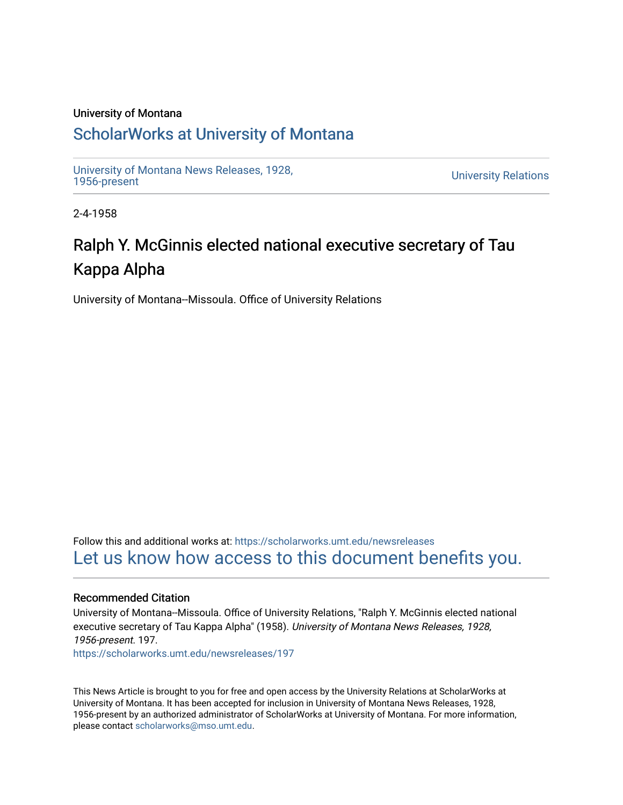### University of Montana

## [ScholarWorks at University of Montana](https://scholarworks.umt.edu/)

[University of Montana News Releases, 1928,](https://scholarworks.umt.edu/newsreleases) 

**University Relations** 

2-4-1958

# Ralph Y. McGinnis elected national executive secretary of Tau Kappa Alpha

University of Montana--Missoula. Office of University Relations

Follow this and additional works at: [https://scholarworks.umt.edu/newsreleases](https://scholarworks.umt.edu/newsreleases?utm_source=scholarworks.umt.edu%2Fnewsreleases%2F197&utm_medium=PDF&utm_campaign=PDFCoverPages) [Let us know how access to this document benefits you.](https://goo.gl/forms/s2rGfXOLzz71qgsB2) 

### Recommended Citation

University of Montana--Missoula. Office of University Relations, "Ralph Y. McGinnis elected national executive secretary of Tau Kappa Alpha" (1958). University of Montana News Releases, 1928, 1956-present. 197. [https://scholarworks.umt.edu/newsreleases/197](https://scholarworks.umt.edu/newsreleases/197?utm_source=scholarworks.umt.edu%2Fnewsreleases%2F197&utm_medium=PDF&utm_campaign=PDFCoverPages)

This News Article is brought to you for free and open access by the University Relations at ScholarWorks at University of Montana. It has been accepted for inclusion in University of Montana News Releases, 1928, 1956-present by an authorized administrator of ScholarWorks at University of Montana. For more information, please contact [scholarworks@mso.umt.edu.](mailto:scholarworks@mso.umt.edu)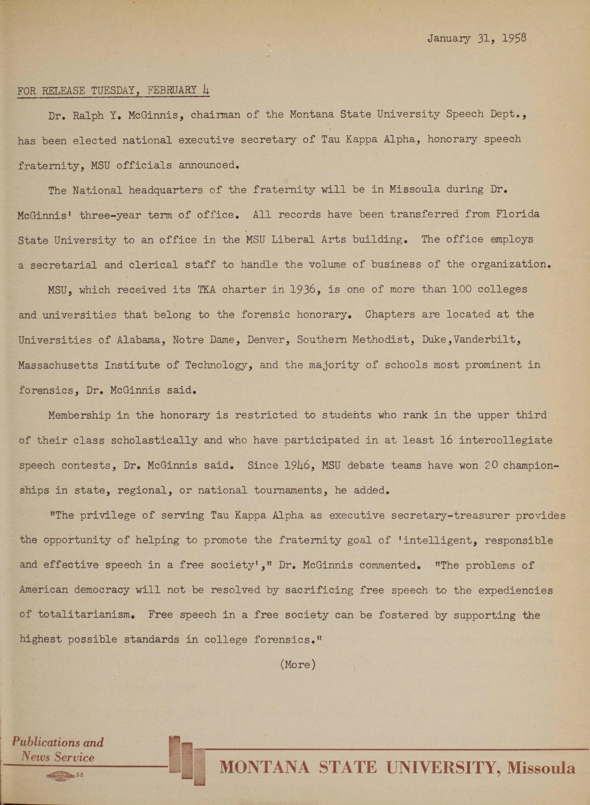#### **FOR RELEASE TUESDAY, FEBRUARY** *h*

*Publications and News Service*

**Dr. Ralph Y. McGinnis, chairman of the Montana State University Speech Dept., has been elected national executive secretary of Tau Kappa Alpha, honorary speech fraternity, MSU officials announced.**

**The National headquarters of the fraternity will be in Missoula during Dr. McGinnis1 three-year term of office. All records have been transferred from Florida State University to an office in the MSU Liberal Arts building. The office employs a secretarial and clerical staff to handle the volume of business of the organization.**

**MSU, which received its TKA charter in 1936, is one of more than 100 colleges and universities that belong to the forensic honorary. Chapters are located at the Universities of Alabama, Notre Dame, Denver, Southern Methodist, Duke,Vanderbilt, Massachusetts Institute of Technology, and the majority of schools most prominent in forensics, Dr. McGinnis said.**

**Membership in the honorary is restricted to students who rank in the upper third of their class scholastically and who have participated in at least 16 intercollegiate** speech contests, Dr. McGinnis said. Since 1946, MSU debate teams have won 20 champion**ships in state, regional, or national tournaments, he added.**

**"The privilege of serving Tau Kappa Alpha as executive secretary-treasurer provides the opportunity of helping to promote the fraternity goal of 'intelligent, responsible and effective speech in a free society'," Dr. McGinnis commented. "The problems of American democracy will not be resolved by sacrificing free speech to the expediencies of totalitarianism. Free speech in a free society can be fostered by supporting the highest possible standards in college forensics."**

**(More)**

*<sup>55</sup>* MONTANA STATE UNIVERSITY, Missoula